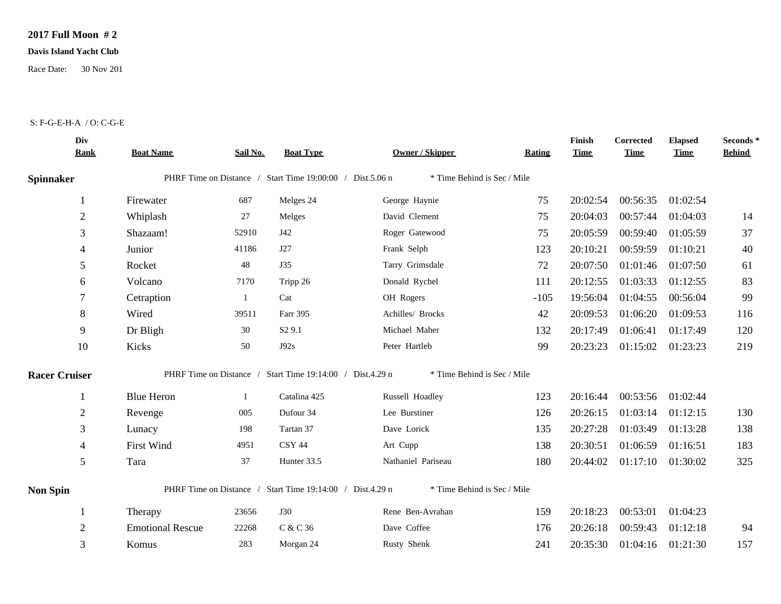## **2017 Full Moon # 2**

## **Davis Island Yacht Club**

Race Date: 30 Nov 201

## S: F-G-E-H-A / O: C-G-E

|                      | Div<br><b>Rank</b> | <b>Boat Name</b>        | Sail No. | <b>Boat Type</b>                                          | Owner / Skipper             | Rating | Finish<br><b>Time</b> | <b>Corrected</b><br><b>Time</b> | <b>Elapsed</b><br><b>Time</b> | Seconds *<br><b>Behind</b> |
|----------------------|--------------------|-------------------------|----------|-----------------------------------------------------------|-----------------------------|--------|-----------------------|---------------------------------|-------------------------------|----------------------------|
| <b>Spinnaker</b>     |                    |                         |          | PHRF Time on Distance / Start Time 19:00:00 / Dist.5.06 n | * Time Behind is Sec / Mile |        |                       |                                 |                               |                            |
|                      |                    | Firewater               | 687      | Melges 24                                                 | George Haynie               | 75     | 20:02:54              | 00:56:35                        | 01:02:54                      |                            |
|                      | $\overline{2}$     | Whiplash                | 27       | Melges                                                    | David Clement               | 75     | 20:04:03              | 00:57:44                        | 01:04:03                      | 14                         |
|                      | 3                  | Shazaam!                | 52910    | J42                                                       | Roger Gatewood              | 75     | 20:05:59              | 00:59:40                        | 01:05:59                      | 37                         |
|                      | 4                  | Junior                  | 41186    | J27                                                       | Frank Selph                 | 123    | 20:10:21              | 00:59:59                        | 01:10:21                      | 40                         |
|                      | 5                  | Rocket                  | 48       | J35                                                       | Tarry Grimsdale             | 72     | 20:07:50              | 01:01:46                        | 01:07:50                      | 61                         |
|                      | 6                  | Volcano                 | 7170     | Tripp 26                                                  | Donald Rychel               | 111    | 20:12:55              | 01:03:33                        | 01:12:55                      | 83                         |
|                      |                    | Cetraption              | -1       | Cat                                                       | OH Rogers                   | $-105$ | 19:56:04              | 01:04:55                        | 00:56:04                      | 99                         |
|                      | 8                  | Wired                   | 39511    | Farr 395                                                  | Achilles/ Brocks            | 42     | 20:09:53              | 01:06:20                        | 01:09:53                      | 116                        |
|                      | 9                  | Dr Bligh                | 30       | S <sub>2</sub> 9.1                                        | Michael Maher               | 132    | 20:17:49              | 01:06:41                        | 01:17:49                      | 120                        |
|                      | 10                 | Kicks                   | 50       | J92s                                                      | Peter Hartleb               | 99     | 20:23:23              | 01:15:02                        | 01:23:23                      | 219                        |
| <b>Racer Cruiser</b> |                    |                         |          | PHRF Time on Distance / Start Time 19:14:00 / Dist.4.29 n | * Time Behind is Sec / Mile |        |                       |                                 |                               |                            |
|                      |                    | <b>Blue Heron</b>       | -1       | Catalina 425                                              | Russell Hoadley             | 123    | 20:16:44              |                                 | 00:53:56 01:02:44             |                            |
|                      | $\overline{2}$     | Revenge                 | 005      | Dufour 34                                                 | Lee Burstiner               | 126    | 20:26:15              | 01:03:14                        | 01:12:15                      | 130                        |
|                      | 3                  | Lunacy                  | 198      | Tartan 37                                                 | Dave Lorick                 | 135    | 20:27:28              | 01:03:49                        | 01:13:28                      | 138                        |
|                      | 4                  | <b>First Wind</b>       | 4951     | CSY 44                                                    | Art Cupp                    | 138    | 20:30:51              | 01:06:59                        | 01:16:51                      | 183                        |
|                      | 5                  | Tara                    | 37       | Hunter 33.5                                               | Nathaniel Pariseau          | 180    | 20:44:02              | 01:17:10                        | 01:30:02                      | 325                        |
| <b>Non Spin</b>      |                    |                         |          | PHRF Time on Distance / Start Time 19:14:00 / Dist.4.29 n | * Time Behind is Sec / Mile |        |                       |                                 |                               |                            |
|                      |                    | Therapy                 | 23656    | <b>J30</b>                                                | Rene Ben-Avrahan            | 159    | 20:18:23              | 00:53:01                        | 01:04:23                      |                            |
|                      | $\overline{2}$     | <b>Emotional Rescue</b> | 22268    | C & C 36                                                  | Dave Coffee                 | 176    | 20:26:18              | 00:59:43                        | 01:12:18                      | 94                         |
|                      | 3                  | Komus                   | 283      | Morgan 24                                                 | Rusty Shenk                 | 241    | 20:35:30              | 01:04:16                        | 01:21:30                      | 157                        |